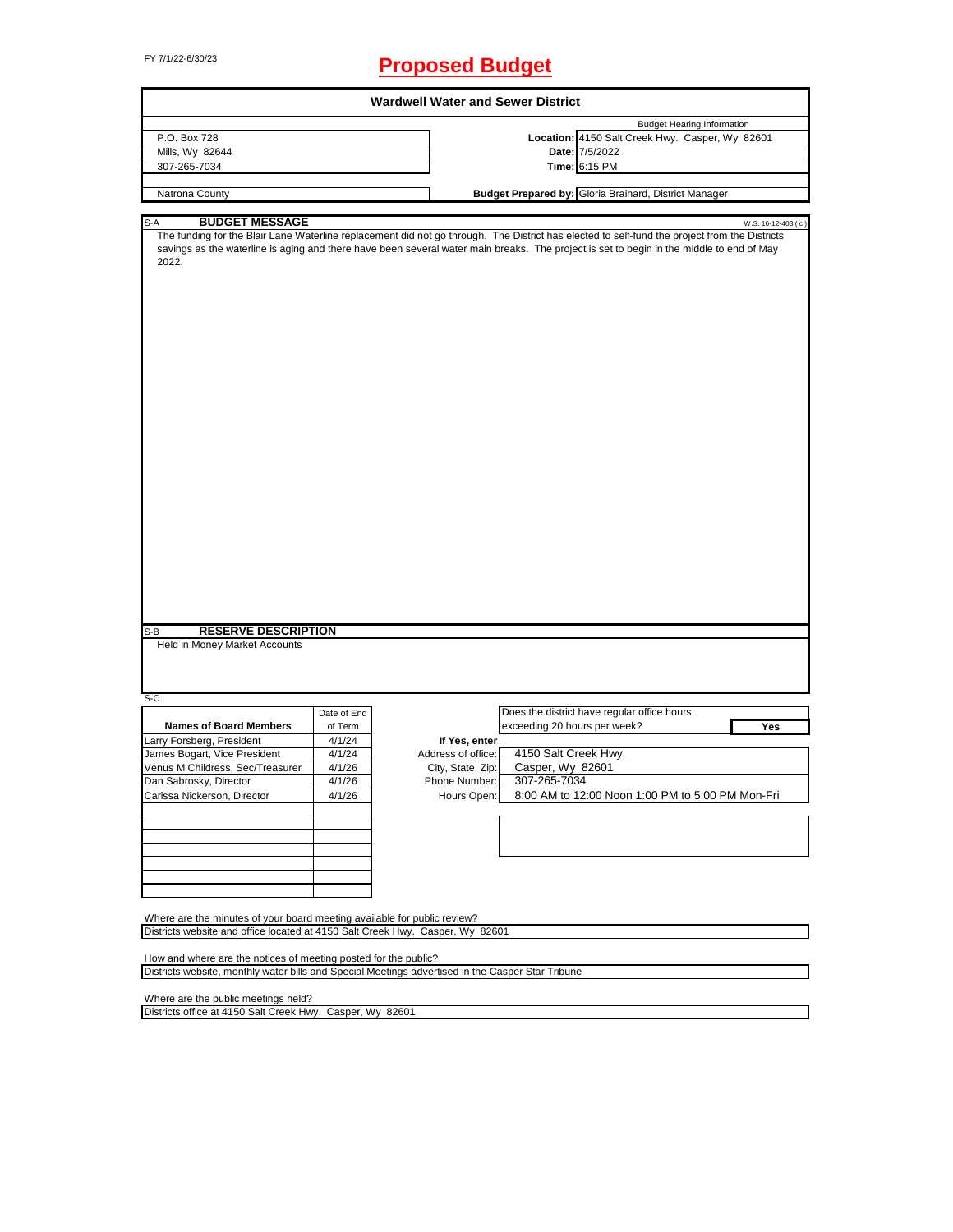# FY 7/1/22-6/30/23 **Proposed Budget**

|                                                                 | <b>Wardwell Water and Sewer District</b>                                                          |                              |                                                                                                                                                                                                                                                                                                                                                    |
|-----------------------------------------------------------------|---------------------------------------------------------------------------------------------------|------------------------------|----------------------------------------------------------------------------------------------------------------------------------------------------------------------------------------------------------------------------------------------------------------------------------------------------------------------------------------------------|
|                                                                 |                                                                                                   |                              | <b>Budget Hearing Information</b>                                                                                                                                                                                                                                                                                                                  |
|                                                                 |                                                                                                   |                              | Location: 4150 Salt Creek Hwy. Casper, Wy 82601                                                                                                                                                                                                                                                                                                    |
|                                                                 |                                                                                                   |                              | Date: 7/5/2022                                                                                                                                                                                                                                                                                                                                     |
|                                                                 |                                                                                                   |                              | Time: 6:15 PM                                                                                                                                                                                                                                                                                                                                      |
|                                                                 |                                                                                                   |                              |                                                                                                                                                                                                                                                                                                                                                    |
|                                                                 |                                                                                                   |                              |                                                                                                                                                                                                                                                                                                                                                    |
|                                                                 |                                                                                                   |                              | W.S. 16-12-403 (c)                                                                                                                                                                                                                                                                                                                                 |
|                                                                 |                                                                                                   |                              |                                                                                                                                                                                                                                                                                                                                                    |
|                                                                 |                                                                                                   |                              |                                                                                                                                                                                                                                                                                                                                                    |
|                                                                 |                                                                                                   |                              |                                                                                                                                                                                                                                                                                                                                                    |
| Date of End                                                     |                                                                                                   |                              | Does the district have regular office hours                                                                                                                                                                                                                                                                                                        |
| of Term                                                         |                                                                                                   | exceeding 20 hours per week? | Yes                                                                                                                                                                                                                                                                                                                                                |
| 4/1/24                                                          | If Yes, enter                                                                                     |                              |                                                                                                                                                                                                                                                                                                                                                    |
| 4/1/24                                                          | Address of office:                                                                                | 4150 Salt Creek Hwy.         |                                                                                                                                                                                                                                                                                                                                                    |
| 4/1/26                                                          | City, State, Zip:                                                                                 | Casper, Wy 82601             |                                                                                                                                                                                                                                                                                                                                                    |
|                                                                 |                                                                                                   |                              |                                                                                                                                                                                                                                                                                                                                                    |
| 4/1/26<br>4/1/26                                                | Phone Number:<br>Hours Open:                                                                      | 307-265-7034                 | 8:00 AM to 12:00 Noon 1:00 PM to 5:00 PM Mon-Fri                                                                                                                                                                                                                                                                                                   |
|                                                                 |                                                                                                   |                              |                                                                                                                                                                                                                                                                                                                                                    |
|                                                                 | Where are the minutes of your board meeting available for public review?                          |                              |                                                                                                                                                                                                                                                                                                                                                    |
|                                                                 | Districts website and office located at 4150 Salt Creek Hwy. Casper, Wy 82601                     |                              |                                                                                                                                                                                                                                                                                                                                                    |
| How and where are the notices of meeting posted for the public? |                                                                                                   |                              |                                                                                                                                                                                                                                                                                                                                                    |
|                                                                 | Districts website, monthly water bills and Special Meetings advertised in the Casper Star Tribune |                              |                                                                                                                                                                                                                                                                                                                                                    |
| <b>BUDGET MESSAGE</b>                                           | <b>RESERVE DESCRIPTION</b>                                                                        |                              | Budget Prepared by: Gloria Brainard, District Manager<br>The funding for the Blair Lane Waterline replacement did not go through. The District has elected to self-fund the project from the Districts<br>savings as the waterline is aging and there have been several water main breaks. The project is set to begin in the middle to end of May |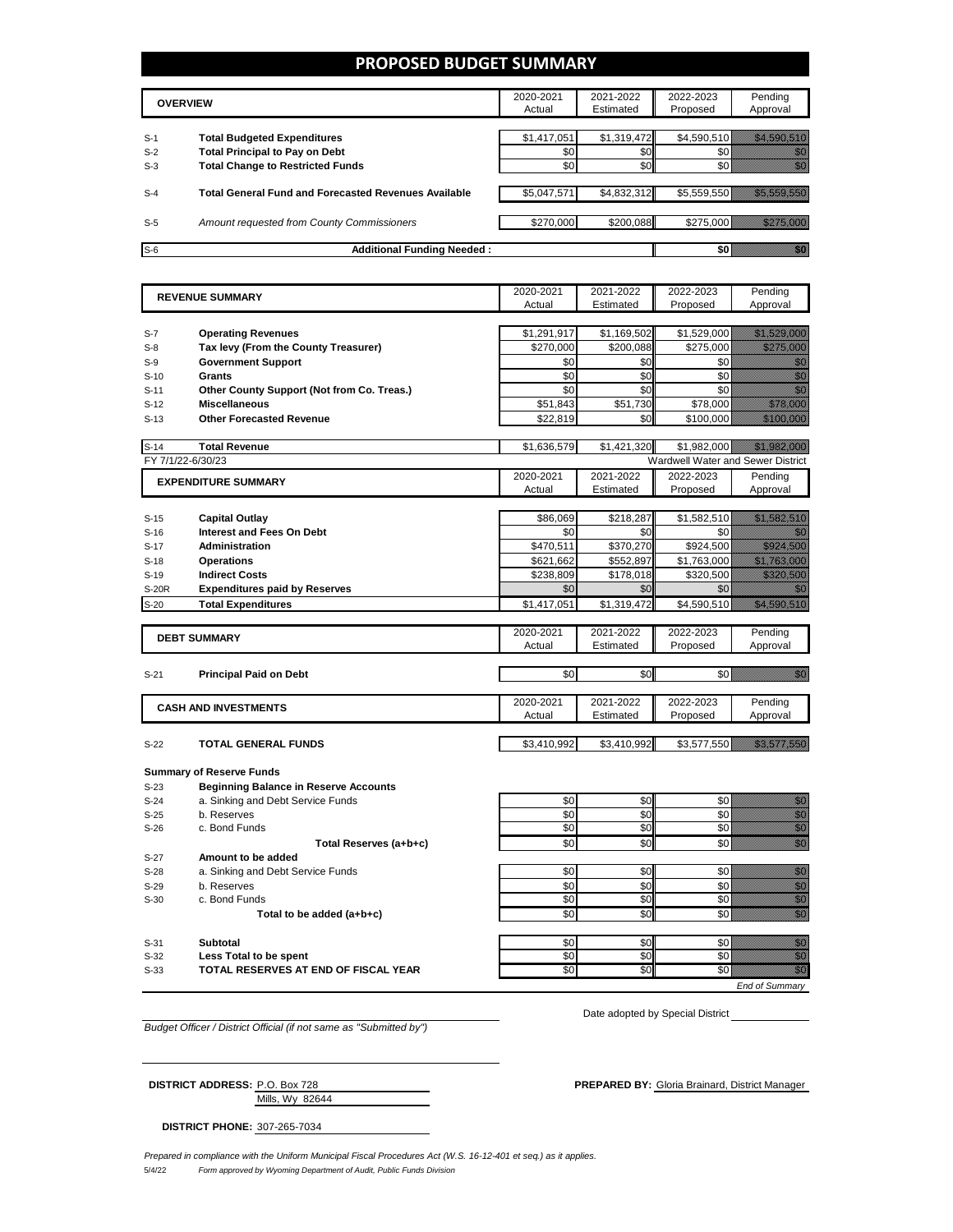### **PROPOSED BUDGET SUMMARY**

|       | <b>OVERVIEW</b>                                             | 2020-2021<br>Actual | 2021-2022<br>Estimated | 2022-2023<br>Proposed | Pending<br>Approval |
|-------|-------------------------------------------------------------|---------------------|------------------------|-----------------------|---------------------|
|       |                                                             |                     |                        |                       |                     |
| $S-1$ | <b>Total Budgeted Expenditures</b>                          | \$1,417,051         | \$1,319,472            | \$4,590,510           |                     |
| $S-2$ | <b>Total Principal to Pay on Debt</b>                       | \$0                 | \$0                    |                       |                     |
| $S-3$ | <b>Total Change to Restricted Funds</b>                     | \$0                 | \$0                    |                       |                     |
|       |                                                             |                     |                        |                       |                     |
| $S-4$ | <b>Total General Fund and Forecasted Revenues Available</b> | \$5,047,571         | \$4,832,312            | \$5,559,550           |                     |
|       |                                                             |                     |                        |                       |                     |
| $S-5$ | Amount requested from County Commissioners                  | \$270,000           | \$200.088              | \$275,000             |                     |
|       |                                                             |                     |                        |                       |                     |
| $S-6$ | Additional Funding Needed:                                  |                     |                        |                       |                     |

| <b>REVENUE SUMMARY</b> |                                              | 2020-2021   | 2021-2022   | 2022-2023                         | Pending                                                                                                                                                                                                                          |
|------------------------|----------------------------------------------|-------------|-------------|-----------------------------------|----------------------------------------------------------------------------------------------------------------------------------------------------------------------------------------------------------------------------------|
|                        |                                              | Actual      | Estimated   | Proposed                          | Approval                                                                                                                                                                                                                         |
|                        |                                              |             |             |                                   |                                                                                                                                                                                                                                  |
| $S-7$                  | <b>Operating Revenues</b>                    | \$1,291,917 | \$1,169,502 | \$1,529,000                       |                                                                                                                                                                                                                                  |
| $S-8$                  | Tax levy (From the County Treasurer)         | \$270,000   | \$200,088   | \$275,000                         | <u> Hilling Sta</u>                                                                                                                                                                                                              |
| $S-9$                  | <b>Government Support</b>                    | \$0         | \$0         | \$0                               | en de la familie de la familie de la familie de la familie de la familie de la familie de la familie de la fa<br>Constitution de la familie de la familie de la familie de la familie de la familie de la familie de la familie  |
| $S-10$                 | Grants                                       | \$0         | \$0         | \$0                               | en eller<br>Michell                                                                                                                                                                                                              |
| $S-11$                 | Other County Support (Not from Co. Treas.)   | \$0         | \$0         | \$0                               | en de la falsa de la falsa de la falsa de la falsa de la falsa de la falsa de la falsa de la falsa de la falsa<br>El de la falsa de la falsa de la falsa de la falsa de la falsa de la falsa de la falsa de la falsa de la falsa |
| $S-12$                 | <b>Miscellaneous</b>                         | \$51,843    | \$51,730    | \$78,000                          |                                                                                                                                                                                                                                  |
| $S-13$                 | <b>Other Forecasted Revenue</b>              | \$22,819    | \$0         | \$100,000                         | <u> Bibliothair a</u>                                                                                                                                                                                                            |
|                        |                                              |             |             |                                   |                                                                                                                                                                                                                                  |
| $S-14$                 | <b>Total Revenue</b>                         | \$1,636,579 | \$1,421,320 | \$1,982,000                       |                                                                                                                                                                                                                                  |
| FY 7/1/22-6/30/23      |                                              |             |             | Wardwell Water and Sewer District |                                                                                                                                                                                                                                  |
|                        | <b>EXPENDITURE SUMMARY</b>                   | 2020-2021   | 2021-2022   | 2022-2023                         | Pending                                                                                                                                                                                                                          |
|                        |                                              | Actual      | Estimated   | Proposed                          | Approval                                                                                                                                                                                                                         |
|                        |                                              |             |             |                                   |                                                                                                                                                                                                                                  |
| $S-15$                 | <b>Capital Outlay</b>                        | \$86,069    | \$218,287   | \$1,582,510                       | <u> Hillisooni ku</u>                                                                                                                                                                                                            |
| $S-16$                 | <b>Interest and Fees On Debt</b>             | \$0         | \$0         | \$0                               | an di Sala                                                                                                                                                                                                                       |
| $S-17$                 | <b>Administration</b>                        | \$470,511   | \$370,270   | \$924.500                         | <u> Hiller Soldan Soldan Soldan Soldan Soldan Soldan Soldan Soldan Soldan Soldan Soldan Soldan Soldan Soldan Sol</u>                                                                                                             |
| $S-18$                 | <b>Operations</b>                            | \$621,662   | \$552,897   | \$1,763,000                       | <u> Kalifornia postali program</u>                                                                                                                                                                                               |
| $S-19$                 | <b>Indirect Costs</b>                        | \$238,809   | \$178,018   | \$320,500                         | <u> Hilling San</u>                                                                                                                                                                                                              |
| S-20R                  | <b>Expenditures paid by Reserves</b>         | \$0         | \$0         | \$0                               | 8                                                                                                                                                                                                                                |
| $S-20$                 | <b>Total Expenditures</b>                    | \$1,417,051 | \$1.319.472 | \$4,590,510                       | <u> Hallis Salah Se</u>                                                                                                                                                                                                          |
|                        |                                              |             |             |                                   |                                                                                                                                                                                                                                  |
|                        | <b>DEBT SUMMARY</b>                          | 2020-2021   | 2021-2022   | 2022-2023                         | Pending                                                                                                                                                                                                                          |
|                        |                                              | Actual      | Estimated   | Proposed                          | Approval                                                                                                                                                                                                                         |
|                        |                                              |             |             |                                   |                                                                                                                                                                                                                                  |
| $S-21$                 | <b>Principal Paid on Debt</b>                | \$0         | \$0         | \$0                               | <u>film</u>                                                                                                                                                                                                                      |
|                        |                                              |             |             |                                   |                                                                                                                                                                                                                                  |
|                        | <b>CASH AND INVESTMENTS</b>                  | 2020-2021   | 2021-2022   | 2022-2023                         | Pending                                                                                                                                                                                                                          |
|                        |                                              | Actual      | Estimated   | Proposed                          | Approval                                                                                                                                                                                                                         |
|                        |                                              |             |             |                                   |                                                                                                                                                                                                                                  |
| $S-22$                 | TOTAL GENERAL FUNDS                          | \$3,410,992 | \$3,410,992 | \$3,577,550                       | <u> Kalendari (K. 1988)</u>                                                                                                                                                                                                      |
|                        |                                              |             |             |                                   |                                                                                                                                                                                                                                  |
|                        | <b>Summary of Reserve Funds</b>              |             |             |                                   |                                                                                                                                                                                                                                  |
| $S-23$                 | <b>Beginning Balance in Reserve Accounts</b> |             |             |                                   |                                                                                                                                                                                                                                  |
| $S-24$                 | a. Sinking and Debt Service Funds            | \$0         | \$0         | \$0                               | en de la familie de la familie de la familie de la familie de la familie de la familie de la familie de la fam<br>Concelho de la familie de la familie de la familie de la familie de la familie de la familie de la familie de  |
| $S-25$                 | b. Reserves                                  | \$0         | \$0         | \$0                               | en de la familie de la familie de la familie de la familie de la familie de la familie de la familie de la fam<br>Constitution de la familie de la familie de la familie de la familie de la familie de la familie de la familie |
| $S-26$                 | c. Bond Funds                                | \$0         | \$0         | \$0                               | enni<br>Mike                                                                                                                                                                                                                     |
|                        | Total Reserves (a+b+c)                       | \$0         | \$0         | \$0                               | enne<br>Mille                                                                                                                                                                                                                    |
| $S-27$                 | Amount to be added                           |             |             |                                   |                                                                                                                                                                                                                                  |
| $S-28$                 | a. Sinking and Debt Service Funds            | \$0         | \$0         | \$0                               | en de la filosofia<br>Altres de la filòla del conte del conte del conte del conte del conte del conte del conte del conte del conte                                                                                              |
| $S-29$                 | b. Reserves                                  | \$0         | \$0         | \$0                               | en de la familie de la familie de la familie de la familie de la familie de la familie de la familie de la fam<br>Constituit de la familie de la familie de la familie de la familie de la familie de la familie de la familie d |
| $S-30$                 | c. Bond Funds                                | \$0         | \$0         | \$0                               | enne<br>Mille                                                                                                                                                                                                                    |
|                        | Total to be added (a+b+c)                    | \$0         | \$0         | \$0                               | en de la filosofia<br>Album de la filòsofia                                                                                                                                                                                      |
|                        |                                              |             |             |                                   |                                                                                                                                                                                                                                  |
| $S-31$                 | <b>Subtotal</b>                              | \$0         | \$0         | \$0                               | en de la familie de la familie de la familie de la familie de la familie de la familie de la familie de la fam<br>De la familie de la familie de la familie de la familie de la familie de la familie de la familie de la famili |
| $S-32$                 | Less Total to be spent                       | \$0         | \$0         | \$0                               | eren<br>Biblio                                                                                                                                                                                                                   |
| $S-33$                 | TOTAL RESERVES AT END OF FISCAL YEAR         | \$0         | \$0         | \$0                               | en de la familie de la familie de la familie de la familie de la familie de la familie de la familie de la fa<br>De la familie de la familie de la familie de la familie de la familie de la familie de la familie de la famili  |
|                        |                                              |             |             |                                   | <b>End of Summarv</b>                                                                                                                                                                                                            |

*Budget Officer / District Official (if not same as "Submitted by")*

Date adopted by Special District

| <b>DISTRICT ADDRESS: P.O. Box 728</b> |                 | <b>PREPARED BY: Gloria Brainard. District Manager</b> |
|---------------------------------------|-----------------|-------------------------------------------------------|
|                                       | Mills. Wv 82644 |                                                       |

**DISTRICT PHONE:** 307-265-7034

5/4/22 *Form approved by Wyoming Department of Audit, Public Funds Division Prepared in compliance with the Uniform Municipal Fiscal Procedures Act (W.S. 16-12-401 et seq.) as it applies.*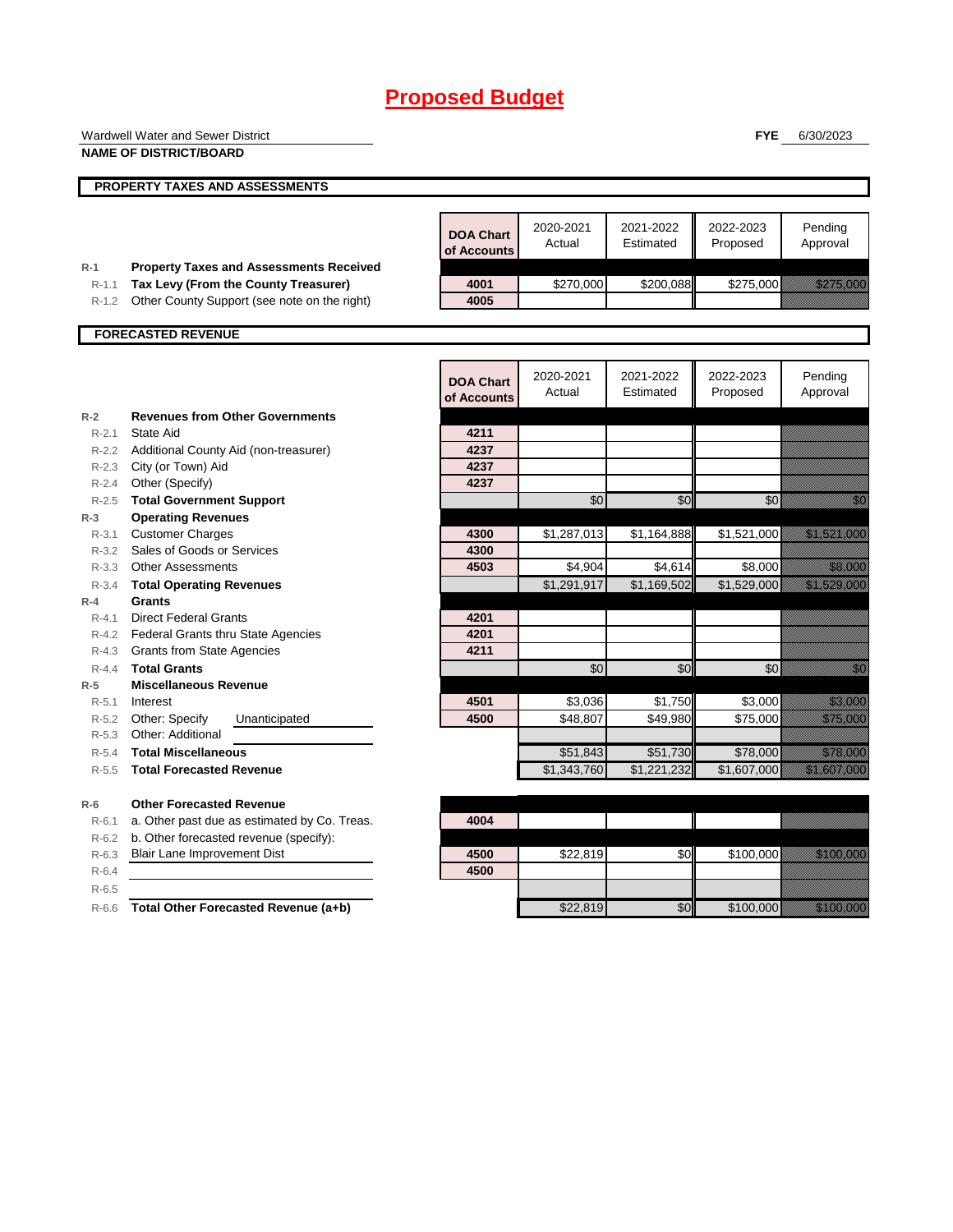|                    | Wardwell Water and Sewer District              |                  |                     |                     | <b>FYE</b>          | 6/30/2023                                                                                                                                                                                                                        |
|--------------------|------------------------------------------------|------------------|---------------------|---------------------|---------------------|----------------------------------------------------------------------------------------------------------------------------------------------------------------------------------------------------------------------------------|
|                    | <b>NAME OF DISTRICT/BOARD</b>                  |                  |                     |                     |                     |                                                                                                                                                                                                                                  |
|                    |                                                |                  |                     |                     |                     |                                                                                                                                                                                                                                  |
|                    | <b>PROPERTY TAXES AND ASSESSMENTS</b>          |                  |                     |                     |                     |                                                                                                                                                                                                                                  |
|                    |                                                |                  |                     |                     |                     |                                                                                                                                                                                                                                  |
|                    |                                                | <b>DOA Chart</b> | 2020-2021           | 2021-2022           | 2022-2023           | Pending                                                                                                                                                                                                                          |
|                    |                                                | of Accounts      | Actual              | Estimated           | Proposed            | Approval                                                                                                                                                                                                                         |
| $R-1$              | <b>Property Taxes and Assessments Received</b> |                  |                     |                     |                     |                                                                                                                                                                                                                                  |
| $R - 1.1$          | Tax Levy (From the County Treasurer)           | 4001             | \$270,000           | \$200,088           | \$275,000           | <u> Elittila kontroll</u>                                                                                                                                                                                                        |
| R-1.2              | Other County Support (see note on the right)   | 4005             |                     |                     |                     |                                                                                                                                                                                                                                  |
|                    |                                                |                  |                     |                     |                     |                                                                                                                                                                                                                                  |
|                    | <b>FORECASTED REVENUE</b>                      |                  |                     |                     |                     |                                                                                                                                                                                                                                  |
|                    |                                                |                  |                     |                     |                     |                                                                                                                                                                                                                                  |
|                    |                                                | <b>DOA Chart</b> | 2020-2021           | 2021-2022           | 2022-2023           | Pending                                                                                                                                                                                                                          |
|                    |                                                | of Accounts      | Actual              | Estimated           | Proposed            | Approval                                                                                                                                                                                                                         |
| $R-2$              | <b>Revenues from Other Governments</b>         |                  |                     |                     |                     |                                                                                                                                                                                                                                  |
| $R - 2.1$          | State Aid                                      | 4211             |                     |                     |                     |                                                                                                                                                                                                                                  |
|                    | R-2.2 Additional County Aid (non-treasurer)    | 4237             |                     |                     |                     |                                                                                                                                                                                                                                  |
| $R - 2.3$          | City (or Town) Aid                             | 4237             |                     |                     |                     |                                                                                                                                                                                                                                  |
| R-2.4              | Other (Specify)                                | 4237             |                     |                     |                     |                                                                                                                                                                                                                                  |
|                    | R-2.5 Total Government Support                 |                  | \$0                 | \$0                 | \$0                 | en de la familie de la familie de la familie de la familie de la familie de la familie de la familie de la fam<br>De la familie de la familie de la familie de la familie de la familie de la familie de la familie de la famili |
| $R-3$              | <b>Operating Revenues</b>                      |                  |                     |                     |                     |                                                                                                                                                                                                                                  |
| $R-3.1$            | <b>Customer Charges</b>                        | 4300             | \$1,287,013         | \$1,164,888         | \$1,521,000         | <u> Elizabeth Carlotta (</u>                                                                                                                                                                                                     |
| $R - 3.2$          | Sales of Goods or Services                     | 4300             |                     |                     |                     |                                                                                                                                                                                                                                  |
|                    | R-3.3 Other Assessments                        | 4503             | \$4,904             | \$4,614             | \$8,000             | <u>ti ali</u>                                                                                                                                                                                                                    |
|                    | R-3.4 Total Operating Revenues                 |                  | \$1,291,917         | \$1,169,502         | \$1,529,000         | <u> Elizabeth Carlotta (Carlotta Carlotta (Carlotta Carlotta Carlotta Carlotta Carlotta Carlotta Carlotta Carlo</u>                                                                                                              |
| $R-4$              | Grants                                         |                  |                     |                     |                     |                                                                                                                                                                                                                                  |
| $R - 4.1$          | <b>Direct Federal Grants</b>                   | 4201             |                     |                     |                     |                                                                                                                                                                                                                                  |
| $R - 4.2$          | Federal Grants thru State Agencies             | 4201             |                     |                     |                     |                                                                                                                                                                                                                                  |
| R-4.3              | <b>Grants from State Agencies</b>              | 4211             |                     |                     |                     |                                                                                                                                                                                                                                  |
| $R - 4.4$          | <b>Total Grants</b>                            |                  | \$0                 | \$0                 | \$0                 | en de la familie de la familie de la familie de la familie de la familie de la familie de la familie de la fam<br>De la familie de la familie de la familie de la familie de la familie de la familie de la familie de la famili |
| $R-5$              | <b>Miscellaneous Revenue</b>                   |                  |                     |                     |                     |                                                                                                                                                                                                                                  |
| $R - 5.1$<br>R-5.2 | Interest<br>Other: Specify<br>Unanticipated    | 4501<br>4500     | \$3,036<br>\$48,807 | \$1,750<br>\$49,980 | \$3,000<br>\$75,000 | <u>elitika k</u><br><u> Hillinger i Sta</u>                                                                                                                                                                                      |
| $R - 5.3$          | Other: Additional                              |                  |                     |                     |                     |                                                                                                                                                                                                                                  |
| $R - 5.4$          | <b>Total Miscellaneous</b>                     |                  | \$51,843            | \$51,730            | \$78,000            | a shekarar 2009<br>Marejeo                                                                                                                                                                                                       |
|                    | R-5.5 Total Forecasted Revenue                 |                  | \$1,343,760         | \$1,221,232         | \$1,607,000         | <u> Elizabeth Carl</u>                                                                                                                                                                                                           |
|                    |                                                |                  |                     |                     |                     |                                                                                                                                                                                                                                  |
| $R-6$              | <b>Other Forecasted Revenue</b>                |                  |                     |                     |                     |                                                                                                                                                                                                                                  |
| $R - 6.1$          | a. Other past due as estimated by Co. Treas.   | 4004             |                     |                     |                     |                                                                                                                                                                                                                                  |
| R-6.2              | b. Other forecasted revenue (specify):         |                  |                     |                     |                     |                                                                                                                                                                                                                                  |
| $R - 6.3$          | Blair Lane Improvement Dist                    | 4500             | \$22,819            | \$0                 | \$100,000           | <u> Marije Serge of Boshov</u>                                                                                                                                                                                                   |
| $R-6.4$            |                                                | 4500             |                     |                     |                     |                                                                                                                                                                                                                                  |
| $R-6.5$            |                                                |                  |                     |                     |                     |                                                                                                                                                                                                                                  |
| $R-6.6$            | Total Other Forecasted Revenue (a+b)           |                  | \$22,819            | \$0                 | \$100,000           |                                                                                                                                                                                                                                  |
|                    |                                                |                  |                     |                     |                     |                                                                                                                                                                                                                                  |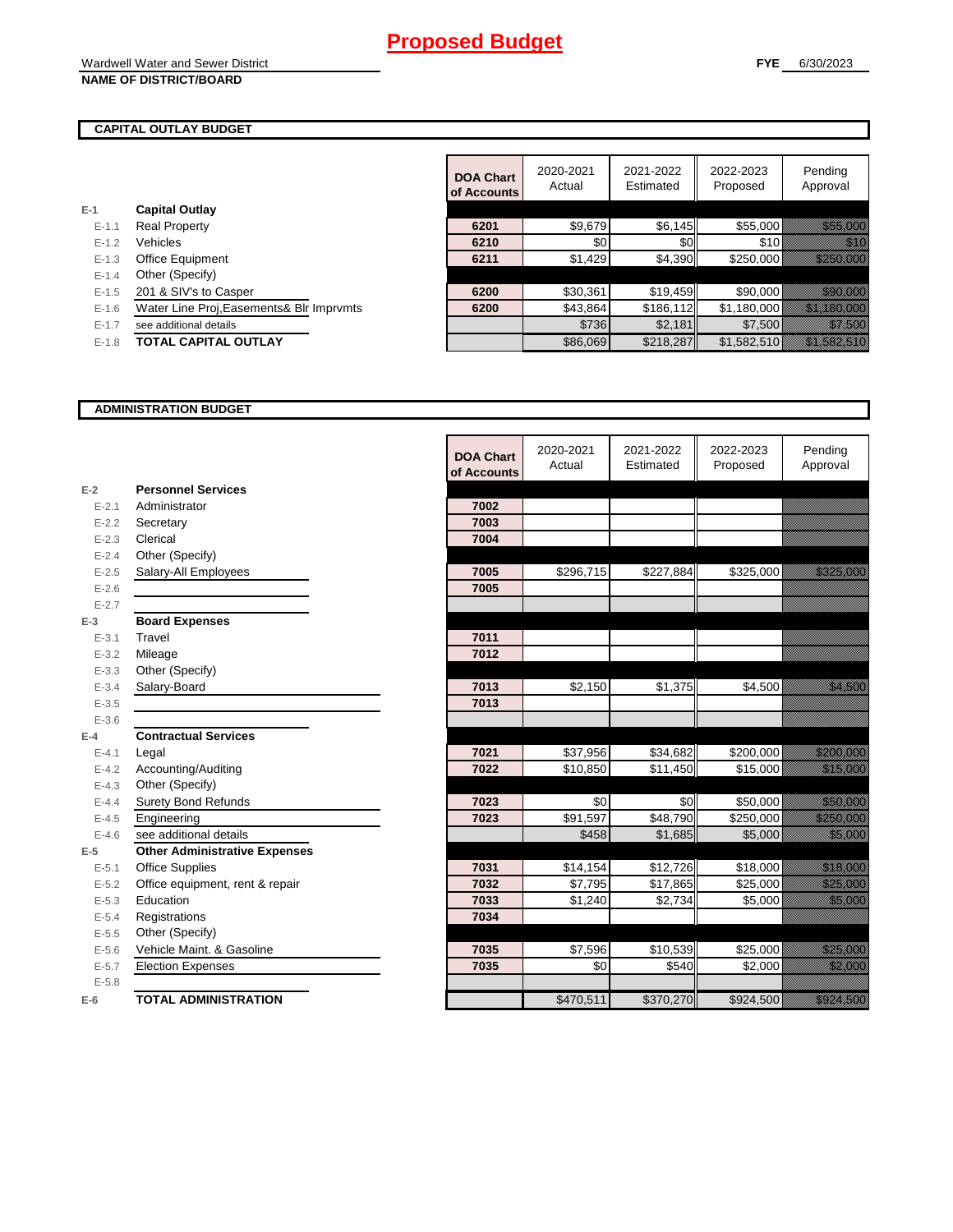#### **CAPITAL OUTLAY BUDGET**

|           |                                          | <b>DOA Chart</b><br>of Accounts | 2020-2021<br>Actual | 2021-2022<br>Estimated | 2022-2023<br>Proposed | Pending<br>Approval                                                                                                   |
|-----------|------------------------------------------|---------------------------------|---------------------|------------------------|-----------------------|-----------------------------------------------------------------------------------------------------------------------|
| $E-1$     | <b>Capital Outlay</b>                    |                                 |                     |                        |                       |                                                                                                                       |
| $E - 1.1$ | <b>Real Property</b>                     | 6201                            | \$9,679             | \$6,145                | \$55,000              | <u> Karl Barat Sara</u>                                                                                               |
| $E - 1.2$ | <b>Vehicles</b>                          | 6210                            | \$0                 | <b>\$0</b>             | \$10                  | <u>Mille</u>                                                                                                          |
| $E - 1.3$ | Office Equipment                         | 6211                            | \$1,429             | \$4,390                | \$250,000             | <u> Harristan Sara</u>                                                                                                |
| $E-1.4$   | Other (Specify)                          |                                 |                     |                        |                       |                                                                                                                       |
| $E - 1.5$ | 201 & SIV's to Casper                    | 6200                            | \$30,361            | \$19,459               | \$90,000              | <u> Herman Sara</u>                                                                                                   |
| $E - 1.6$ | Water Line Proj, Easements& Blr Imprvmts | 6200                            | \$43,864            | \$186,112              | \$1,180,000           | <u> Elizabeth Charles (Charles Charles Charles Charles Charles Charles Charles Charles Charles Charles Charles Ch</u> |
| $E - 1.7$ | see additional details                   |                                 | \$736               | \$2,181                | \$7,500               | a a a an an t-ainm                                                                                                    |
| $E-1.8$   | <b>TOTAL CAPITAL OUTLAY</b>              |                                 | \$86,069            | \$218,287              | \$1,582,510           |                                                                                                                       |

 $\overline{\phantom{a}}$ 

#### **ADMINISTRATION BUDGET**

|           |                                      | <b>DOA Chart</b><br>of Accounts | 2020-2021<br>Actual | 2021-2022<br>Estimated | 2022-2023<br>Proposed | Pending<br>Approval                                                                                                                                                                                                             |
|-----------|--------------------------------------|---------------------------------|---------------------|------------------------|-----------------------|---------------------------------------------------------------------------------------------------------------------------------------------------------------------------------------------------------------------------------|
| $E-2$     | <b>Personnel Services</b>            |                                 |                     |                        |                       |                                                                                                                                                                                                                                 |
| $E - 2.1$ | Administrator                        | 7002                            |                     |                        |                       |                                                                                                                                                                                                                                 |
| $E - 2.2$ | Secretary                            | 7003                            |                     |                        |                       |                                                                                                                                                                                                                                 |
| $E - 2.3$ | Clerical                             | 7004                            |                     |                        |                       |                                                                                                                                                                                                                                 |
| $E - 2.4$ | Other (Specify)                      |                                 |                     |                        |                       |                                                                                                                                                                                                                                 |
| $E - 2.5$ | Salary-All Employees                 | 7005                            | \$296,715           | \$227,884              | \$325,000             | <u> Harristo Sta</u>                                                                                                                                                                                                            |
| $E - 2.6$ |                                      | 7005                            |                     |                        |                       |                                                                                                                                                                                                                                 |
| $E - 2.7$ |                                      |                                 |                     |                        |                       |                                                                                                                                                                                                                                 |
| $E-3$     | <b>Board Expenses</b>                |                                 |                     |                        |                       |                                                                                                                                                                                                                                 |
| $E - 3.1$ | Travel                               | 7011                            |                     |                        |                       |                                                                                                                                                                                                                                 |
| $E - 3.2$ | Mileage                              | 7012                            |                     |                        |                       |                                                                                                                                                                                                                                 |
| $E - 3.3$ | Other (Specify)                      |                                 |                     |                        |                       |                                                                                                                                                                                                                                 |
| $E - 3.4$ | Salary-Board                         | 7013                            | \$2,150             | \$1,375                | \$4,500               |                                                                                                                                                                                                                                 |
| $E - 3.5$ |                                      | 7013                            |                     |                        |                       |                                                                                                                                                                                                                                 |
| $E - 3.6$ |                                      |                                 |                     |                        |                       |                                                                                                                                                                                                                                 |
| $E-4$     | <b>Contractual Services</b>          |                                 |                     |                        |                       |                                                                                                                                                                                                                                 |
| $E - 4.1$ | Legal                                | 7021                            | \$37,956            | \$34,682               | \$200,000             | a sa tanàna amin'ny faritr'i Normala.<br>Ny INSEE dia mampiasa ny kaodim-paositra 61169.                                                                                                                                        |
| $E - 4.2$ | Accounting/Auditing                  | 7022                            | \$10,850            | \$11,450               | \$15,000              | <u> Karl Barat Sara</u>                                                                                                                                                                                                         |
| $E - 4.3$ | Other (Specify)                      |                                 |                     |                        |                       |                                                                                                                                                                                                                                 |
| $E - 4.4$ | <b>Surety Bond Refunds</b>           | 7023                            | \$0                 | \$0                    | \$50,000              |                                                                                                                                                                                                                                 |
| $E-4.5$   | Engineering                          | 7023                            | \$91,597            | \$48,790               | \$250,000             | <u> Elizabeth Carl</u>                                                                                                                                                                                                          |
| $E-4.6$   | see additional details               |                                 | \$458               | \$1,685                | \$5,000               | <u> Kalendari Serika</u>                                                                                                                                                                                                        |
| $E-5$     | <b>Other Administrative Expenses</b> |                                 |                     |                        |                       |                                                                                                                                                                                                                                 |
| $E - 5.1$ | <b>Office Supplies</b>               | 7031                            | \$14,154            | \$12,726               | \$18,000              | a katika katika katika katika katika katika alikuwa na katika katika alikuwa katika alikuwa na katika alikuwa<br>Katika katika katika katika katika katika katika katika katika katika katika katika katika katika katika katik |
| $E - 5.2$ | Office equipment, rent & repair      | 7032                            | \$7,795             | \$17,865               | \$25,000              | <u> Karl Barat Sara</u>                                                                                                                                                                                                         |
| $E - 5.3$ | Education                            | 7033                            | \$1,240             | \$2,734                | \$5,000               | <u>tion and</u>                                                                                                                                                                                                                 |
| $E - 5.4$ | Registrations                        | 7034                            |                     |                        |                       |                                                                                                                                                                                                                                 |
| $E - 5.5$ | Other (Specify)                      |                                 |                     |                        |                       |                                                                                                                                                                                                                                 |
| $E-5.6$   | Vehicle Maint, & Gasoline            | 7035                            | \$7,596             | \$10,539               | \$25,000              | <u> Karatika Sa</u>                                                                                                                                                                                                             |
| $E - 5.7$ | <b>Election Expenses</b>             | 7035                            | \$0                 | \$540                  | \$2,000               | <u> Karlingan Sa</u>                                                                                                                                                                                                            |
| $E - 5.8$ |                                      |                                 |                     |                        |                       |                                                                                                                                                                                                                                 |
| $E-6$     | <b>TOTAL ADMINISTRATION</b>          |                                 | \$470,511           | \$370,270              | \$924,500             | <u>esta kontroll</u>                                                                                                                                                                                                            |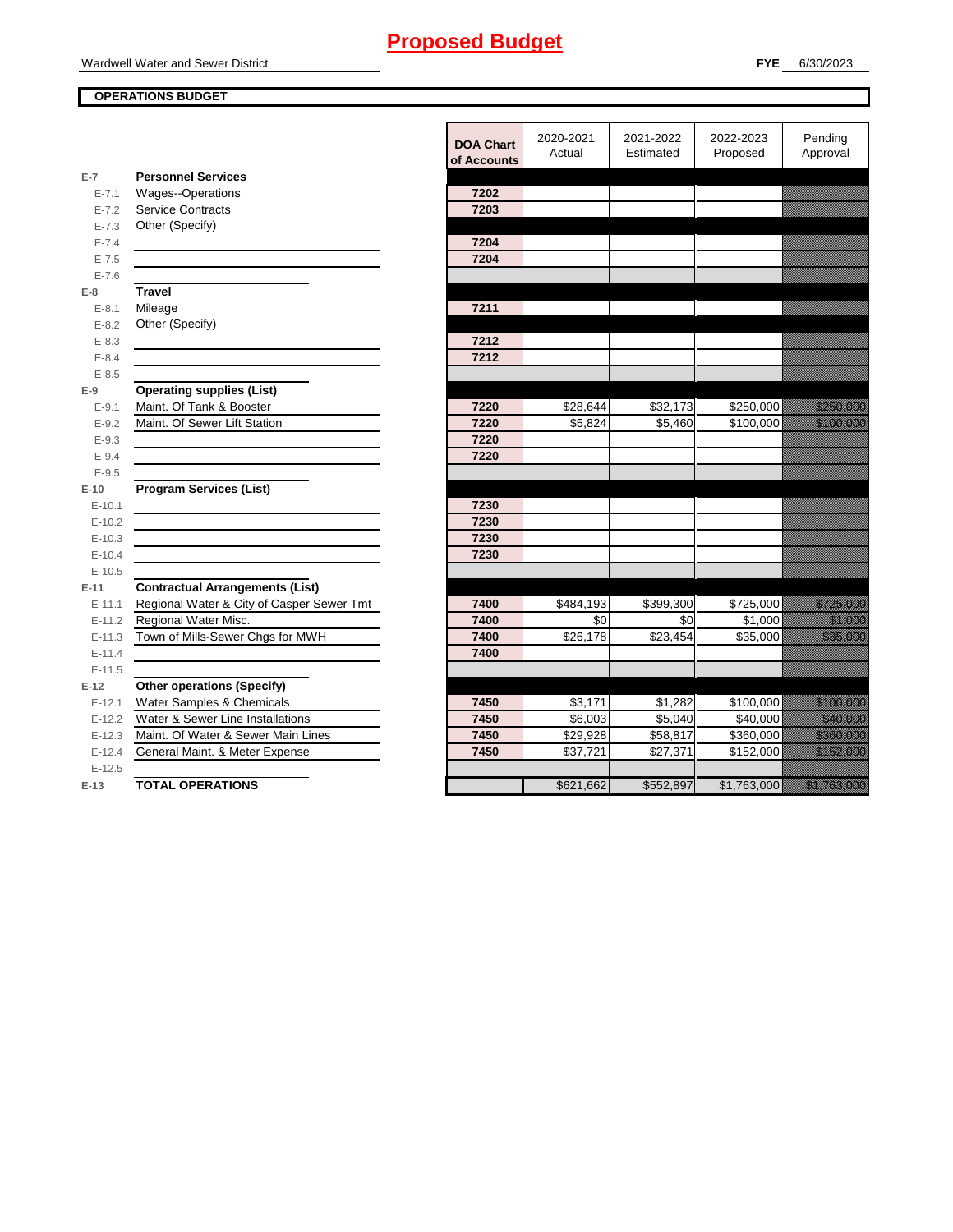#### **OPERATIONS BUDGET**

**E-7**

**E-8 Travel**

**E-9**

**E-10**

**E-11 Contractual Arrangements (List)** 

**E-12 Other operations (Specify)** 

en de la familie de la familie de la familie de la familie de la familie de la familie de la familie de la fam<br>De la familie de la familie de la familie de la familie de la familie de la familie de la familie de la famili en de la familie de la familie de la familie de la familie de la familie de la familie de la familie de la fam<br>Décembre de la familie de la familie de la familie de la familie de la familie de la familie de la familie de

en de la familie de la familie de la familie de la familie de la familie de la familie de la familie de la fa<br>Décembre de la familie de la familie de la familie de la familie de la familie de la familie de la familie de en de la familie de la familie de la familie de la familie de la familie de la familie de la familie de la fam<br>Décembre de la familie de la familie de la familie de la familie de la familie de la familie de la familie de en de la familie de la familie de la familie de la familie de la familie de la familie de la familie de la fam<br>Constitution de la familie de la familie de la familie de la familie de la familie de la familie de la familie

|            |                                           | <b>DOA Chart</b><br>of Accounts | 2020-2021<br>Actual | 2021-2022<br>Estimated | 2022-2023<br>Proposed | Pending<br>Approval                                                                                                  |
|------------|-------------------------------------------|---------------------------------|---------------------|------------------------|-----------------------|----------------------------------------------------------------------------------------------------------------------|
| $E-7$      | <b>Personnel Services</b>                 |                                 |                     |                        |                       |                                                                                                                      |
| $E - 7.1$  | <b>Wages--Operations</b>                  | 7202                            |                     |                        |                       |                                                                                                                      |
| $E - 7.2$  | <b>Service Contracts</b>                  | 7203                            |                     |                        |                       |                                                                                                                      |
| $E - 7.3$  | Other (Specify)                           |                                 |                     |                        |                       |                                                                                                                      |
| $E - 7.4$  |                                           | 7204                            |                     |                        |                       |                                                                                                                      |
| $E - 7.5$  |                                           | 7204                            |                     |                        |                       |                                                                                                                      |
| $E - 7.6$  |                                           |                                 |                     |                        |                       |                                                                                                                      |
| $E-8$      | <b>Travel</b>                             |                                 |                     |                        |                       |                                                                                                                      |
| $E - 8.1$  | Mileage                                   | 7211                            |                     |                        |                       |                                                                                                                      |
| $E - 8.2$  | Other (Specify)                           |                                 |                     |                        |                       |                                                                                                                      |
| $E - 8.3$  |                                           | 7212                            |                     |                        |                       |                                                                                                                      |
| $E - 8.4$  |                                           | 7212                            |                     |                        |                       |                                                                                                                      |
| $E - 8.5$  |                                           |                                 |                     |                        |                       |                                                                                                                      |
| $E-9$      | <b>Operating supplies (List)</b>          |                                 |                     |                        |                       |                                                                                                                      |
| $E - 9.1$  | Maint. Of Tank & Booster                  | 7220                            | \$28,644            | \$32,173               | \$250,000             | <u>Tillistiin S</u>                                                                                                  |
| $E - 9.2$  | Maint. Of Sewer Lift Station              | 7220                            | \$5,824             | \$5,460                | \$100,000             | <u> Maria Maria I</u>                                                                                                |
| $E - 9.3$  |                                           | 7220                            |                     |                        |                       |                                                                                                                      |
| $E - 9.4$  |                                           | 7220                            |                     |                        |                       |                                                                                                                      |
| $E - 9.5$  |                                           |                                 |                     |                        |                       |                                                                                                                      |
| E-10       | <b>Program Services (List)</b>            |                                 |                     |                        |                       |                                                                                                                      |
| $E-10.1$   |                                           | 7230                            |                     |                        |                       |                                                                                                                      |
| $E-10.2$   |                                           | 7230                            |                     |                        |                       |                                                                                                                      |
| $E-10.3$   |                                           | 7230                            |                     |                        |                       |                                                                                                                      |
| $E-10.4$   |                                           | 7230                            |                     |                        |                       |                                                                                                                      |
| $E-10.5$   |                                           |                                 |                     |                        |                       |                                                                                                                      |
| E-11       | <b>Contractual Arrangements (List)</b>    |                                 |                     |                        |                       |                                                                                                                      |
| $E - 11.1$ | Regional Water & City of Casper Sewer Tmt | 7400                            | \$484,193           | \$399,300              | \$725,000             | <u>tillään ku</u>                                                                                                    |
| $E-11.2$   | Regional Water Misc.                      | 7400                            | \$0                 | \$0                    | \$1,000               | <u>ti ka</u>                                                                                                         |
| $E-11.3$   | Town of Mills-Sewer Chgs for MWH          | 7400                            | \$26,178            | \$23,454               | \$35,000              | <u> Karl Sara</u>                                                                                                    |
| $E-11.4$   |                                           | 7400                            |                     |                        |                       |                                                                                                                      |
| $E-11.5$   |                                           |                                 |                     |                        |                       |                                                                                                                      |
| $E-12$     | <b>Other operations (Specify)</b>         |                                 |                     |                        |                       |                                                                                                                      |
| $E-12.1$   | Water Samples & Chemicals                 | 7450                            | \$3,171             | \$1,282                | \$100,000             | <u> Elizabeth C</u>                                                                                                  |
| $E-12.2$   | Water & Sewer Line Installations          | 7450                            | \$6,003             | \$5,040                | \$40,000              | <u> Timografia a shekara ta 1999 a shekara ta 1999 a shekara ta 1999 a shekara ta 1999 a shekara ta 1999 a sheka</u> |
| $E-12.3$   | Maint. Of Water & Sewer Main Lines        | 7450                            | \$29,928            | \$58,817               | \$360,000             | <u> Karl III ya kusa</u>                                                                                             |
| $E-12.4$   | General Maint. & Meter Expense            | 7450                            | \$37,721            | \$27,371               | \$152,000             | <u> Hardweiser</u>                                                                                                   |
| $E-12.5$   |                                           |                                 |                     |                        |                       |                                                                                                                      |
| $E-13$     | <b>TOTAL OPERATIONS</b>                   |                                 | \$621,662           | \$552,897              | \$1,763,000           | <u> Kalifornia (h. 1988).</u>                                                                                        |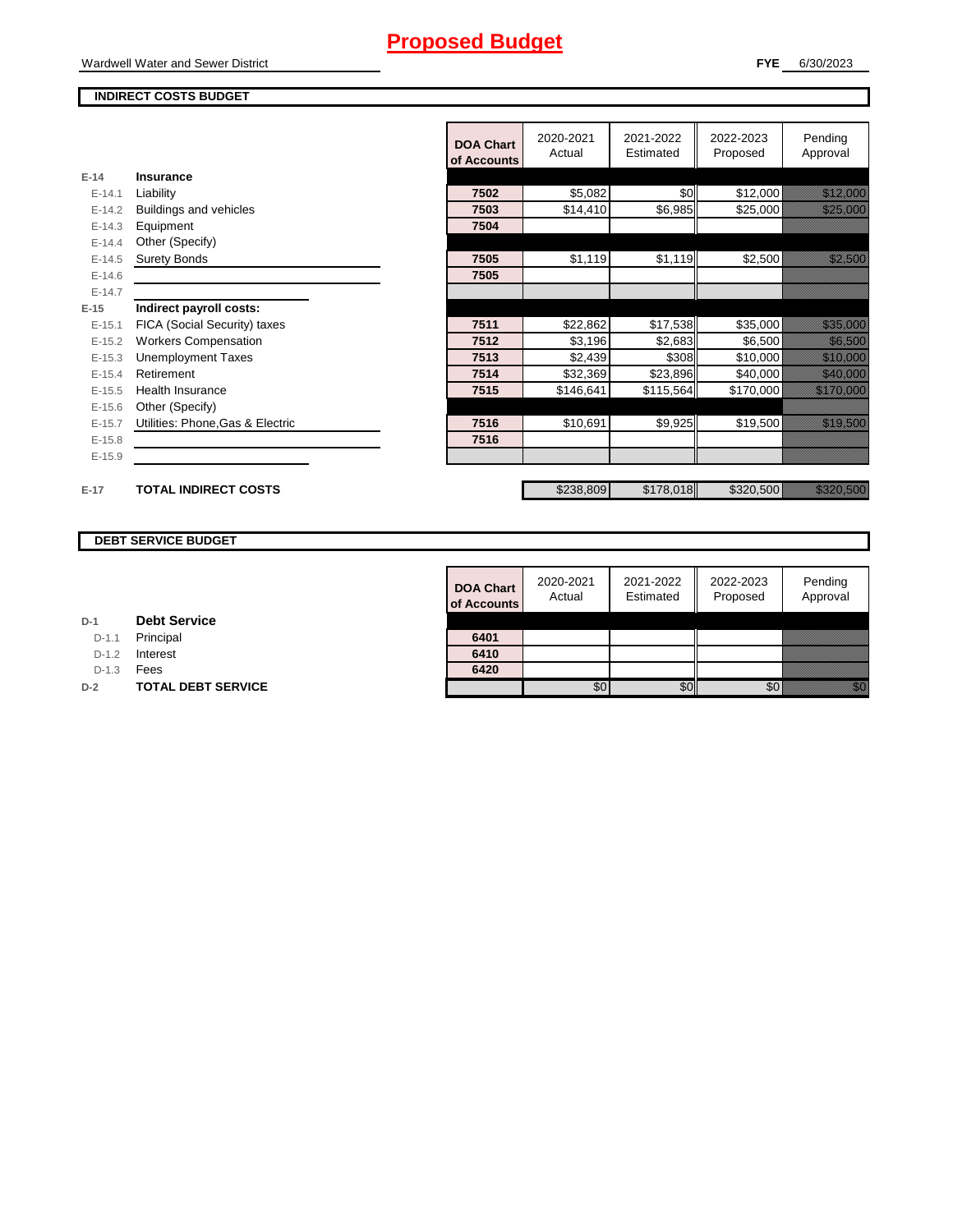#### Wardwell Water and Sewer District

#### **FYE** 6/30/2023

#### **INDIRECT COSTS BUDGET**

|          |                                  | <b>DOA Chart</b><br>of Accounts | 2020-2021<br>Actual | 2021-2022<br>Estimated | 2022-2023<br>Proposed | Pending<br>Approval                                                                                                                                                                                                                     |
|----------|----------------------------------|---------------------------------|---------------------|------------------------|-----------------------|-----------------------------------------------------------------------------------------------------------------------------------------------------------------------------------------------------------------------------------------|
| $E-14$   | Insurance                        |                                 |                     |                        |                       |                                                                                                                                                                                                                                         |
| $E-14.1$ | Liability                        | 7502                            | \$5,082             | \$0                    | \$12,000              | <u> Kalendari Serikat Serikat dan pe</u> ndadan pada tahun 1980. Pada tahun 1980 dan kalendari Serikat Serikat dan be<br>Pada tahun 1980 dan menjadi bagian pada tahun 1980 dan menjadi bagian pada tahun 1980 dan menjadi bagi pada ta |
| $E-14.2$ | Buildings and vehicles           | 7503                            | \$14,410            | \$6,985                | \$25,000              | <u> Hillinger o</u>                                                                                                                                                                                                                     |
| $E-14.3$ | Equipment                        | 7504                            |                     |                        |                       |                                                                                                                                                                                                                                         |
| $E-14.4$ | Other (Specify)                  |                                 |                     |                        |                       |                                                                                                                                                                                                                                         |
| $E-14.5$ | <b>Surety Bonds</b>              | 7505                            | \$1,119             | \$1,119                | \$2,500               | <u>ting and the second second in the second second in the second second in the second second in the second second</u>                                                                                                                   |
| $E-14.6$ |                                  | 7505                            |                     |                        |                       |                                                                                                                                                                                                                                         |
| $E-14.7$ |                                  |                                 |                     |                        |                       |                                                                                                                                                                                                                                         |
| $E-15$   | Indirect payroll costs:          |                                 |                     |                        |                       |                                                                                                                                                                                                                                         |
| $E-15.1$ | FICA (Social Security) taxes     | 7511                            | \$22,862            | \$17,538               | \$35,000              | <u>i ka</u>                                                                                                                                                                                                                             |
| $E-15.2$ | <b>Workers Compensation</b>      | 7512                            | \$3,196             | \$2,683                | \$6,500               | <u> Kalendaria (</u>                                                                                                                                                                                                                    |
| $E-15.3$ | <b>Unemployment Taxes</b>        | 7513                            | \$2,439             | \$308                  | \$10,000              | <u> Karl Sara</u>                                                                                                                                                                                                                       |
| $E-15.4$ | Retirement                       | 7514                            | \$32,369            | \$23,896               | \$40,000              | <u> Martin Sara</u>                                                                                                                                                                                                                     |
| $E-15.5$ | <b>Health Insurance</b>          | 7515                            | \$146,641           | \$115,564              | \$170,000             | <u> Elithelik Solo</u>                                                                                                                                                                                                                  |
| $E-15.6$ | Other (Specify)                  |                                 |                     |                        |                       |                                                                                                                                                                                                                                         |
| $E-15.7$ | Utilities: Phone, Gas & Electric | 7516                            | \$10,691            | \$9,925                | \$19,500              | <u> Kalifornia (</u>                                                                                                                                                                                                                    |
| $E-15.8$ |                                  | 7516                            |                     |                        |                       |                                                                                                                                                                                                                                         |
| $E-15.9$ |                                  |                                 |                     |                        |                       |                                                                                                                                                                                                                                         |
|          |                                  |                                 |                     |                        |                       |                                                                                                                                                                                                                                         |
| $E-17$   | <b>TOTAL INDIRECT COSTS</b>      |                                 | \$238,809           | \$178,018              | \$320,500             | <u> Kalendari Sa</u>                                                                                                                                                                                                                    |
|          |                                  |                                 |                     |                        |                       |                                                                                                                                                                                                                                         |

#### **DEBT SERVICE BUDGET**

| <b>DOA Chart</b><br>of Accounts | 2020-2021<br>Actual | 2021-2022<br>Estimated | 2022-2023<br>Proposed | Pending<br>Approval |
|---------------------------------|---------------------|------------------------|-----------------------|---------------------|
|                                 |                     |                        |                       |                     |
| 6401                            |                     |                        |                       |                     |
| 6410                            |                     |                        |                       |                     |
| 6420                            |                     |                        |                       |                     |
|                                 |                     |                        |                       |                     |

| D-1 |  | <b>Debt Service</b> |
|-----|--|---------------------|
|-----|--|---------------------|

D-1.1 Principal

D-1.2 **Interest** 

D-1.3 **Fees** 

**D-2 TOTAL DEBT SERVICE**